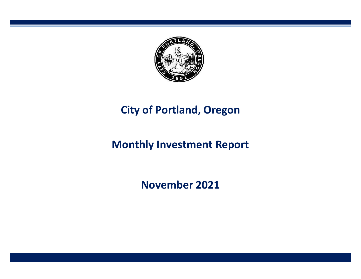

# **City of Portland, Oregon**

# **Monthly Investment Report**

**November 2021**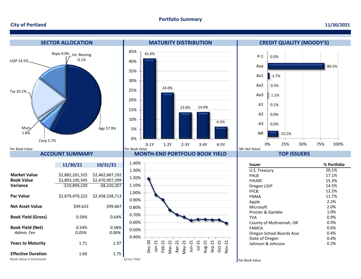#### **Portfolio Summary**

#### **City of Portland**

#### **11/30/2021**

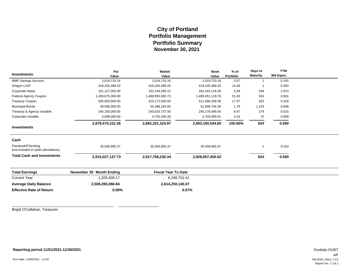## **City of Portland Portfolio Management November 30, 2021 Portfolio Summary**

|                                                           | Par                      | <b>Market</b>              | <b>Book</b>      | $%$ of    | Days to         | <b>YTM</b> |  |
|-----------------------------------------------------------|--------------------------|----------------------------|------------------|-----------|-----------------|------------|--|
| <b>Investments</b>                                        | Value                    | Value                      | Value            | Portfolio | <b>Maturity</b> | 365 Equiv. |  |
| MMF Savings Account                                       | 2,019,733.16             | 2,019,733.16               | 2,019,733.16     | 0.07      |                 | 0.155      |  |
| Oregon LGIP                                               | 418,205,489.20           | 418,205,489.20             | 418,205,489.20   | 14.46     |                 | 0.450      |  |
| <b>Corporate Notes</b>                                    | 161,127,000.00           | 162, 144, 295. 10          | 161,442,118.38   | 5.58      | 168             | 2.013      |  |
| Federal Agency Coupon                                     | 1,493,675,000.00         | 1,488,950,365.73           | 1,499,451,119.76 | 51.83     | 924             | 0.581      |  |
| <b>Treasury Coupon</b>                                    | 505,000,000.00           | 510,172,500.00             | 511,096,269.58   | 17.67     | 525             | 0.318      |  |
| <b>Municipal Bonds</b>                                    | 49,595,000.00            | 50,388,164.50              | 51,008,756.30    | 1.76      | 1,103           | 0.598      |  |
| Treasury & Agency Variable                                | 245,150,000.00           | 245,618,737.00             | 245,176,699.26   | 8.47      | 279             | 0.515      |  |
| Corporate Variable                                        | 4,698,000.00             | 4,702,040.28               | 4,700,359.01     | 0.16      | 70              | 0.658      |  |
|                                                           | 2,879,470,222.36         | 2,882,201,324.97           | 2,893,100,544.65 | 100.00%   | 624             | 0.590      |  |
| <b>Investments</b>                                        |                          |                            |                  |           |                 |            |  |
| Cash                                                      |                          |                            |                  |           |                 |            |  |
| Passbook/Checking<br>(not included in yield calculations) | 35,556,905.37            | 35,556,905.37              | 35,556,905.37    |           |                 | 0.103      |  |
| <b>Total Cash and Investments</b>                         | 2,915,027,127.73         | 2,917,758,230.34           | 2,928,657,450.02 |           | 624             | 0.590      |  |
| <b>Total Earnings</b>                                     | November 30 Month Ending | <b>Fiscal Year To Date</b> |                  |           |                 |            |  |
| <b>Current Year</b>                                       | 1,205,409.17             | 6,248,701.41               |                  |           |                 |            |  |
| <b>Average Daily Balance</b>                              | 2,508,265,066.84         | 2,614,250,145.07           |                  |           |                 |            |  |
| <b>Effective Rate of Return</b>                           | 0.58%                    |                            | 0.57%            |           |                 |            |  |

Brigid O'Callahan, Treasurer

**Reporting period 11/01/2021-11/30/2021**

\_\_\_\_\_\_\_\_\_\_\_\_\_\_\_\_\_\_\_\_\_\_\_\_\_\_\_\_\_\_\_\_\_\_\_\_\_\_\_\_\_\_\_\_\_\_\_\_\_\_ \_\_\_\_\_\_\_\_\_\_\_\_\_\_\_\_\_\_\_\_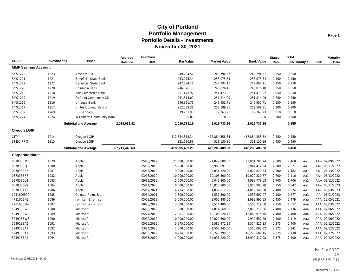| <b>CUSIP</b>               | Investment# | Issuer                       | Average<br><b>Balance</b> | Purchase<br>Date | Par Value      | <b>Market Value</b> | <b>Book Value</b> | <b>Stated</b><br>Rate | <b>YTM</b><br>365 Moody's | S&P | <b>Maturity</b><br>Date |
|----------------------------|-------------|------------------------------|---------------------------|------------------|----------------|---------------------|-------------------|-----------------------|---------------------------|-----|-------------------------|
| <b>MMF Savings Account</b> |             |                              |                           |                  |                |                     |                   |                       |                           |     |                         |
| SYS1223                    | 1223        | Advantis CU                  |                           |                  | 249,794.57     | 249,794.57          | 249,794.57        | 0.350                 | 0.350                     |     |                         |
| SYS1221                    | 1221        | <b>Beneficial State Bank</b> |                           |                  | 253,075.34     | 253,075.34          | 253,075.34        | 0.150                 | 0.150                     |     |                         |
| SYS1222                    | 1222        | <b>Beneficial State Bank</b> |                           |                  | 247,894.11     | 247,894.11          | 247,894.11        | 0.150                 | 0.150                     |     |                         |
| SYS1220                    | 1220        | Columbia Bank                |                           |                  | 246,876.18     | 246,876.18          | 246,876.18        | 0.050                 | 0.050                     |     |                         |
| SYS1218                    | 1218        | The Commerce Bank            |                           |                  | 251,473.92     | 251,473.92          | 251,473.92        | 0.050                 | 0.050                     |     |                         |
| SYS1219                    | 1219        | <b>OnPoint Community CU</b>  |                           |                  | 251,814.09     | 251,814.09          | 251,814.09        | 0.250                 | 0.250                     |     |                         |
| SYS1216                    | 1216        | Umpqua Bank                  |                           |                  | 246,951.71     | 246,951.71          | 246,951.71        | 0.150                 | 0.150                     |     |                         |
| SYS1217                    | 1217        | Unitus Community CU          |                           |                  | 252,589.31     | 252,589.31          | 252,589.31        | 0.100                 | 0.100                     |     |                         |
| SYS1269                    | 1269        | <b>US Bancorp</b>            |                           |                  | 19,263.93      | 19,263.93           | 19,263.93         | 0.010                 | 0.010                     |     |                         |
| SYS1224                    | 1224        | Willamette Community Bank    |                           |                  | 0.00           | 0.00                | 0.00              | 0.600                 | 0.600                     |     |                         |
|                            |             | <b>Subtotal and Average</b>  | 2,019,632.82              |                  | 2,019,733.16   | 2,019,733.16        | 2,019,733.16      |                       | 0.155                     |     |                         |
| <b>Oregon LGIP</b>         |             |                              |                           |                  |                |                     |                   |                       |                           |     |                         |
| <b>CITY</b>                | 1214        | Oregon LGIP                  |                           |                  | 417,884,358.34 | 417,884,358.34      | 417,884,358.34    | 0.450                 | 0.450                     |     |                         |
| <b>SPEC PROJ</b>           | 1215        | Oregon LGIP                  |                           |                  | 321,130.86     | 321,130.86          | 321,130.86        | 0.450                 | 0.450                     |     |                         |
|                            |             | <b>Subtotal and Average</b>  | 67,711,443.63             |                  | 418,205,489.20 | 418,205,489.20      | 418,205,489.20    |                       | 0.450                     |     |                         |
| <b>Corporate Notes</b>     |             |                              |                           |                  |                |                     |                   |                       |                           |     |                         |
| 037833CM0                  | 1079        | Apple                        |                           | 05/16/2019       | 21,000,000.00  | 21,047,880.00       | 21,001,205.74     | 2.500                 | 2.468<br>Aa1              |     | AA+ 02/09/2022          |
| 037833CQ1                  | 1080        | Apple                        |                           | 05/09/2019       | 5,950,000.00   | 5,989,091.50        | 5,944,412.94      | 2.300                 | 2.521<br>Aa1              |     | AA+ 05/11/2022          |
| 037833BF6                  | 1081        | Apple                        |                           | 05/16/2019       | 3,000,000.00   | 3,031,620.00        | 3,002,820.33      | 2.700                 | 2.482<br>Aa1              |     | AA+ 05/13/2022          |
| 037833BF6                  | 1082        | Apple                        |                           | 03/13/2020       | 10,000,000.00  | 10,105,400.00       | 10,070,220.77     | 2.700                 | 1.116<br>Aa1              |     | AA+ 05/13/2022          |
| 037833DL1                  | 1083        | Apple                        |                           | 09/11/2019       | 5,000,000.00   | 5,049,800.00        | 4,999,779.63      | 1.700                 | 1.706<br>Aa1              |     | AA+ 09/11/2022          |
| 037833DV9                  | 1084        | Apple                        |                           | 05/11/2020       | 10,000,000.00  | 10,023,800.00       | 9,986,903.70      | 0.750                 | 0.842<br>Aa1              |     | AA+ 05/11/2023          |
| 037833AK6                  | 1286        | Apple                        |                           | 05/17/2021       | 4,724,000.00   | 4,837,612.20        | 4,866,346.30      | 2.400                 | 0.274<br>Aa1              |     | AA+ 05/03/2023          |
| 19416QEC0                  | 1285        | Colgate-Palmolive            |                           | 05/14/2021       | 1,500,000.00   | 1,531,590.00        | 1,538,607.07      | 2.100                 | 0.277<br>Aa3              |     | AA- 05/01/2023          |
| 478160BN3                  | 1086        | Johnson & Johnson            |                           | 05/08/2019       | 3,000,000.00   | 3,000,480.00        | 2,999,990.55      | 2.450                 | 2.479<br>Aaa              |     | AAA 12/05/2021          |
| 478160CD4                  | 1087        | Johnson & Johnson            |                           | 08/28/2019       | 3,500,000.00   | 3,511,480.00        | 3,505,219.60      | 2.250                 | 1.652<br>Aaa              |     | AAA 03/03/2022          |
| 594918BW3                  | 1088        | Microsoft                    |                           | 06/05/2019       | 7,000,000.00   | 7,014,560.00        | 7,003,219.56      | 2.400                 | 2.136<br>Aaa              |     | AAA 02/06/2022          |
| 594918BW3                  | 1089        | Microsoft                    |                           | 05/24/2019       | 12,081,000.00  | 12,106,128.48       | 12,080,975.76     | 2.400                 | 2.400<br>Aaa              |     | AAA 02/06/2022          |
| 594918BW3                  | 1090        | Microsoft                    |                           | 05/10/2019       | 10,000,000.00  | 10,020,800.00       | 9,999,657.20      | 2.400                 | 2.419<br>Aaa              |     | AAA 02/06/2022          |
| 594918BA1                  | 1091        | Microsoft                    |                           | 05/15/2019       | 3,575,000.00   | 3,582,972.25        | 3,574,825.13      | 2.375                 | 2.400<br>Aaa              |     | AAA 02/12/2022          |
| 594918BA1                  | 1092        | Microsoft                    |                           | 03/24/2020       | 1,500,000.00   | 1,503,345.00        | 1,500,095.82      | 2.375                 | 2.341<br>Aaa              |     | AAA 02/12/2022          |
| 594918BA1                  | 1093        | Microsoft                    |                           | 06/05/2019       | 10,224,000.00  | 10,246,799.52       | 10,228,609.15     | 2.375                 | 2.138<br>Aaa              |     | AAA 02/12/2022          |
| 594918BA1                  | 1094        | Microsoft                    |                           | 05/15/2019       | 14,000,000.00  | 14,031,220.00       | 13,999,317.98     | 2.375                 | 2.400<br>Aaa              |     | AAA 02/12/2022          |

Portfolio PORT AP Run Date: 12/08/2021 - 14:20 PM (PRF\_PM2) 7.3.0

Report Ver. 7.3.6.1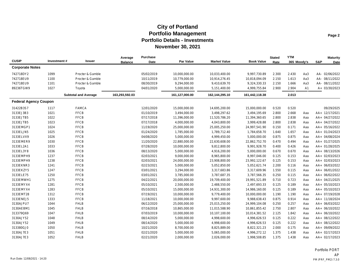| <b>CUSIP</b>                 | Investment# | <b>Issuer</b>               | Average<br><b>Balance</b> | Purchase<br>Date | Par Value      | <b>Market Value</b> | <b>Book Value</b> | <b>Stated</b><br>Rate | <b>YTM</b><br>365 Moody's |     | S&P | <b>Maturity</b><br>Date |
|------------------------------|-------------|-----------------------------|---------------------------|------------------|----------------|---------------------|-------------------|-----------------------|---------------------------|-----|-----|-------------------------|
| <b>Corporate Notes</b>       |             |                             |                           |                  |                |                     |                   |                       |                           |     |     |                         |
| 742718DY2                    | 1099        | Procter & Gamble            |                           | 05/02/2019       | 10,000,000.00  | 10,033,400.00       | 9,997,730.89      | 2.300                 | 2.430                     | Aa3 |     | AA- 02/06/2022          |
| 742718EU9                    | 1100        | Procter & Gamble            |                           | 10/11/2019       | 10,779,000.00  | 10,914,276.45       | 10,818,094.09     | 2.150                 | 1.613                     | Aa3 |     | AA- 08/11/2022          |
| 742718EU9                    | 1101        | Procter & Gamble            |                           | 08/30/2019       | 9,294,000.00   | 9,410,639.70        | 9,324,330.33      | 2.150                 | 1.666                     | Aa3 |     | AA- 08/11/2022          |
| 89236TGW9                    | 1027        | Toyota                      |                           | 04/01/2020       | 5,000,000.00   | 5,151,400.00        | 4,999,755.84      | 2.900                 | 2.904                     | A1  |     | A+ 03/30/2023           |
|                              |             | <b>Subtotal and Average</b> | 163,293,592.03            |                  | 161,127,000.00 | 162,144,295.10      | 161,442,118.38    |                       | 2.013                     |     |     |                         |
| <b>Federal Agency Coupon</b> |             |                             |                           |                  |                |                     |                   |                       |                           |     |     |                         |
| 31422B3S7                    | 1117        | <b>FAMCA</b>                |                           | 12/01/2020       | 15,000,000.00  | 14,695,200.00       | 15,000,000.00     | 0.520                 | 0.520                     |     |     | 09/29/2025              |
| 3133EJ3B3                    | 1021        | <b>FFCB</b>                 |                           | 01/10/2019       | 3,494,000.00   | 3,498,297.62        | 3,494,195.69      | 2.800                 | 2.668                     | Aaa |     | AA+ 12/17/2021          |
| 3133EJTB5                    | 1022        | <b>FFCB</b>                 |                           | 07/17/2018       | 11,396,000.00  | 11,520,786.20       | 11,394,360.65     | 2.800                 | 2.838                     | Aaa |     | AA+ 04/27/2022          |
| 3133EJTB5                    | 1023        | <b>FFCB</b>                 |                           | 07/17/2018       | 4,000,000.00   | 4,043,800.00        | 3,999,428.88      | 2.800                 | 2.838                     | Aaa |     | AA+ 04/27/2022          |
| 3133EMGP1                    | 1024        | <b>FFCB</b>                 |                           | 11/19/2020       | 25,000,000.00  | 25,005,250.00       | 24,997,541.90     | 0.150                 | 0.171                     | Aaa |     | AA+ 05/16/2022          |
| 3133ELJN5                    | 1025        | <b>FFCB</b>                 |                           | 01/24/2020       | 1,785,000.00   | 1,789,712.40        | 1,784,658.70      | 1.640                 | 1.657                     | Aaa |     | AA+ 01/24/2023          |
| 3133ELVX9                    | 1026        | <b>FFCB</b>                 |                           | 04/08/2020       | 5,000,000.00   | 4,999,450.00        | 5,000,000.00      | 0.875                 | 0.875                     | Aaa |     | AA+ 04/08/2024          |
| 3133EMER9                    | 1030        | <b>FFCB</b>                 |                           | 11/20/2020       | 22,880,000.00  | 22,630,608.00       | 22,862,752.70     | 0.470                 | 0.494                     | Aaa |     | AA+ 01/27/2025          |
| 3133EL2A1                    | 1033        | <b>FFCB</b>                 |                           | 07/28/2020       | 10,000,000.00  | 9,812,800.00        | 9,991,928.70      | 0.400                 | 0.426                     | Aaa |     | AA+ 01/28/2025          |
| 3133EL3Y8                    | 1036        | <b>FFCB</b>                 |                           | 08/13/2020       | 5,000,000.00   | 4,916,200.00        | 5,000,000.00      | 0.670                 | 0.670                     | Aaa |     | AA+ 08/13/2026          |
| 3133EMPH9                    | 1237        | <b>FFCB</b>                 |                           | 02/03/2021       | 9,000,000.00   | 8,965,800.00        | 8,997,046.00      | 0.125                 | 0.153                     | Aaa |     | AA+ 02/03/2023          |
| 3133EMPH9                    | 1238        | <b>FFCB</b>                 |                           | 02/03/2021       | 24,000,000.00  | 23,908,800.00       | 23,992,122.67     | 0.125                 | 0.153                     | Aaa |     | AA+ 02/03/2023          |
| 3133EKNR3                    | 1241        | <b>FFCB</b>                 |                           | 02/23/2021       | 5,000,000.00   | 5,052,850.00        | 5,052,621.74      | 2.200                 | 0.116                     | Aaa |     | AA+ 06/03/2022          |
| 3133EKZY5                    | 1247        | <b>FFCB</b>                 |                           | 03/01/2021       | 3,294,000.00   | 3,317,683.86        | 3,317,609.96      | 1.550                 | 0.115                     | Aaa |     | AA+ 06/01/2022          |
| 3133ELE75                    | 1250        | <b>FFCB</b>                 |                           | 03/01/2021       | 3,785,000.00   | 3,787,687.35        | 3,787,566.35      | 0.250                 | 0.115                     | Aaa |     | AA+ 06/02/2022          |
| 3133EMWH1                    | 1275        | <b>FFCB</b>                 |                           | 04/22/2021       | 20,000,000.00  | 19,709,400.00       | 19,991,521.89     | 0.710                 | 0.723                     | Aaa |     | AA+ 04/21/2025          |
| 3133EMYX4                    | 1281        | <b>FFCB</b>                 |                           | 05/10/2021       | 2,500,000.00   | 2,488,550.00        | 2,497,693.33      | 0.125                 | 0.189                     | Aaa |     | AA+ 05/10/2023          |
| 3133EMYX4                    | 1283        | <b>FFCB</b>                 |                           | 05/10/2021       | 15,000,000.00  | 14,931,300.00       | 14,986,160.00     | 0.125                 | 0.189                     | Aaa |     | AA+ 05/10/2023          |
| 3133EMT28                    | 1312        | <b>FFCB</b>                 |                           | 07/19/2021       | 10,000,000.00  | 9,779,400.00        | 10,000,000.00     | 1.190                 | 1.190                     | Aaa |     | AA+ 07/19/2028          |
| 3133ENEJ5                    | 1333        | <b>FFCB</b>                 |                           | 11/18/2021       | 10,000,000.00  | 9,997,600.00        | 9,988,638.43      | 0.875                 | 0.914                     | Aaa |     | AA+ 11/18/2024          |
| 3130AJPU7                    | 1044        | <b>FHLB</b>                 |                           | 06/12/2020       | 25,000,000.00  | 25,015,250.00       | 24,999,104.08     | 0.250                 | 0.257                     | Aaa |     | AA+ 06/03/2022          |
| 3130AEBM1                    | 1045        | <b>FHLB</b>                 |                           | 07/16/2018       | 10,865,000.00  | 11,015,588.90       | 10,861,855.42     | 2.750                 | 2.807                     | Aaa |     | AA+ 06/10/2022          |
| 313379Q69                    | 1047        | <b>FHLB</b>                 |                           | 07/03/2019       | 10,000,000.00  | 10,107,100.00       | 10,014,381.52     | 2.125                 | 1.842                     | Aaa |     | AA+ 06/10/2022          |
| 3130AJY52                    | 1048        | <b>FHLB</b>                 |                           | 08/14/2020       | 5,000,000.00   | 4,998,600.00        | 4,996,626.53      | 0.125                 | 0.222                     | Aaa |     | AA+ 08/12/2022          |
| 3130AJY52                    | 1049        | <b>FHLB</b>                 |                           | 08/14/2020       | 5,000,000.00   | 4,998,600.00        | 4,996,626.53      | 0.125                 | 0.222                     | Aaa |     | AA+ 08/12/2022          |
| 313380GJ0                    | 1050        | <b>FHLB</b>                 |                           | 10/21/2020       | 8,700,000.00   | 8,825,889.00        | 8,822,321.23      | 2.000                 | 0.175                     | Aaa |     | AA+ 09/09/2022          |
| 3130AJ7E3                    | 1051        | <b>FHLB</b>                 |                           | 02/21/2020       | 5,000,000.00   | 5,065,000.00        | 4,996,272.12      | 1.375                 | 1.438                     | Aaa |     | AA+ 02/17/2023          |
| 3130AJ7E3                    | 1052        | <b>FHLB</b>                 |                           | 02/21/2020       | 2,000,000.00   | 2,026,000.00        | 1,998,508.85      | 1.375                 | 1.438                     | Aaa |     | AA+ 02/17/2023          |

Portfolio PORT AP Run Date: 12/08/2021 - 14:20 PM (PRF\_PM2) 7.3.0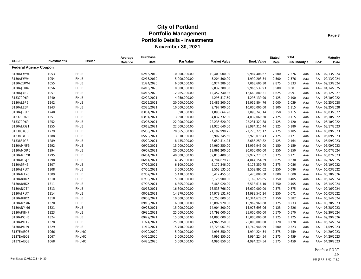|                              |             |              | Average        | <b>Purchase</b> |                  |                     |                   | <b>Stated</b> | <b>YTM</b>  |     |     | <b>Maturity</b> |
|------------------------------|-------------|--------------|----------------|-----------------|------------------|---------------------|-------------------|---------------|-------------|-----|-----|-----------------|
| <b>CUSIP</b>                 | Investment# | Issuer       | <b>Balance</b> | Date            | <b>Par Value</b> | <b>Market Value</b> | <b>Book Value</b> | Rate          | 365 Moody's |     | S&P | Date            |
| <b>Federal Agency Coupon</b> |             |              |                |                 |                  |                     |                   |               |             |     |     |                 |
| 3130AFW94                    | 1053        | <b>FHLB</b>  |                | 02/15/2019      | 10,000,000.00    | 10,409,000.00       | 9,984,406.67      | 2.500         | 2.576       | Aaa |     | AA+ 02/13/2024  |
| 3130AFW94                    | 1054        | <b>FHLB</b>  |                | 02/15/2019      | 5,000,000.00     | 5,204,500.00        | 4,992,203.34      | 2.500         | 2.576       | Aaa |     | AA+ 02/13/2024  |
| 3130A2UW4                    | 1055        | <b>FHLB</b>  |                | 11/24/2020      | 6,600,000.00     | 6,974,286.00        | 7,063,600.30      | 2.875         | 0.333       | Aaa |     | AA+ 09/13/2024  |
| 3130AJHU6                    | 1056        | <b>FHLB</b>  |                | 04/16/2020      | 10,000,000.00    | 9,832,200.00        | 9,966,537.93      | 0.500         | 0.601       | Aaa |     | AA+ 04/14/2025  |
| 3130AJ4B2                    | 1057        | <b>FHLB</b>  |                | 04/16/2020      | 12,265,000.00    | 12,452,740.36       | 12,660,880.31     | 1.625         | 0.991       | Aaa |     | AA+ 03/12/2027  |
| 313379Q69                    | 1240        | <b>FHLB</b>  |                | 02/22/2021      | 4,250,000.00     | 4,295,517.50        | 4,295,139.90      | 2.125         | 0.100       | Aaa |     | AA+ 06/10/2022  |
| 3130AL6F6                    | 1242        | <b>FHLB</b>  |                | 02/25/2021      | 20,000,000.00    | 19,486,200.00       | 19,952,804.76     | 1.000         | 1.039       | Aaa |     | AA+ 02/25/2028  |
| 3130ALE34                    | 1243        | <b>FHLB</b>  |                | 02/25/2021      | 10,000,000.00    | 9,797,900.00        | 10,000,000.00     | 1.100         | 1.115       | Aaa |     | AA+ 02/25/2028  |
| 3130AJPU7                    | 1248        | <b>FHLB</b>  |                | 03/01/2021      | 1,090,000.00     | 1,090,664.90        | 1,090,743.14      | 0.250         | 0.115       | Aaa |     | AA+ 06/03/2022  |
| 313379Q69                    | 1251        | <b>FHLB</b>  |                | 03/01/2021      | 3,990,000.00     | 4,032,732.90        | 4,032,060.30      | 2.125         | 0.115       | Aaa |     | AA+ 06/10/2022  |
| 313379Q69                    | 1252        | <b>FHLB</b>  |                | 03/05/2021      | 22,000,000.00    | 22,235,620.00       | 22,231,321.88     | 2.125         | 0.120       | Aaa |     | AA+ 06/10/2022  |
| 3130ALRG1                    | 1255        | <b>FHLB</b>  |                | 03/18/2021      | 22,000,000.00    | 21,925,640.00       | 21,984,315.44     | 0.125         | 0.180       | Aaa |     | AA+ 03/17/2023  |
| 3133834G3                    | 1279        | <b>FHLB</b>  |                | 05/05/2021      | 20,665,000.00    | 21,192,990.75       | 21,273,725.12     | 2.125         | 0.185       | Aaa |     | AA+ 06/09/2023  |
| 3133834G3                    | 1288        | <b>FHLB</b>  |                | 05/20/2021      | 3,810,000.00     | 3,907,345.50        | 3,923,070.43      | 2.125         | 0.171       | Aaa |     | AA+ 06/09/2023  |
| 3133834G3                    | 1289        | <b>FHLB</b>  |                | 05/20/2021      | 8,435,000.00     | 8,650,514.25        | 8,686,259.82      | 2.125         | 0.164       | Aaa |     | AA+ 06/09/2023  |
| 3130AMNF5                    | 1292        | <b>FHLB</b>  |                | 06/09/2021      | 15,000,000.00    | 14,960,250.00       | 14,997,945.00     | 0.150         | 0.159       | Aaa |     | AA+ 06/09/2023  |
| 3130AMQR6                    | 1294        | <b>FHLB</b>  |                | 06/07/2021      | 20,000,000.00    | 19,861,200.00       | 20,000,000.00     | 0.350         | 0.350       | Aaa |     | AA+ 06/07/2024  |
| 3130AMRY0                    | 1295        | <b>FHLB</b>  |                | 06/04/2021      | 40,000,000.00    | 39,810,400.00       | 39,972,271.87     | 0.125         | 0.171       | Aaa |     | AA+ 06/02/2023  |
| 3130AMGJ5                    | 1298        | <b>FHLB</b>  |                | 06/11/2021      | 4,845,000.00     | 4,784,679.75        | 4,844,154.39      | 0.625         | 0.630       | Aaa |     | AA+ 02/26/2025  |
| 3130A5P45                    | 1307        | <b>FHLB</b>  |                | 07/06/2021      | 6,100,000.00     | 6,172,346.00        | 6,173,250.75      | 2.375         | 0.086       | Aaa |     | AA+ 06/10/2022  |
| 3130AJPU7                    | 1308        | <b>FHLB</b>  |                | 07/06/2021      | 3,500,000.00     | 3,502,135.00        | 3,502,895.02      | 0.250         | 0.086       | Aaa |     | AA+ 06/03/2022  |
| 3130AMT28                    | 1309        | <b>FHLB</b>  |                | 07/07/2021      | 5,470,000.00     | 5,412,455.60        | 5,470,000.00      | 1.000         | 1.000       | Aaa |     | AA+ 06/30/2026  |
| 3130A8HK2                    | 1310        | <b>FHLB</b>  |                | 07/08/2021      | 5,000,000.00     | 5,126,900.00        | 5,169,328.65      | 1.750         | 0.405       | Aaa |     | AA+ 06/14/2024  |
| 3130A8HK2                    | 1311        | <b>FHLB</b>  |                | 07/08/2021      | 6,305,000.00     | 6,465,020.90        | 6,518,616.10      | 1.750         | 0.405       | Aaa |     | AA+ 06/14/2024  |
| 3130ANDT4                    | 1313        | <b>FHLB</b>  |                | 08/16/2021      | 16,600,000.00    | 16,533,766.00       | 16,600,000.00     | 0.375         | 0.375       | Aaa |     | AA+ 02/16/2024  |
| 3130AJPU7                    | 1314        | <b>FHLB</b>  |                | 08/02/2021      | 14,970,000.00    | 14,979,131.70       | 14,983,541.24     | 0.250         | 0.071       | Aaa |     | AA+ 06/03/2022  |
| 3130A8HK2                    | 1318        | <b>FHLB</b>  |                | 09/03/2021      | 10,000,000.00    | 10,253,800.00       | 10,344,678.02     | 1.750         | 0.382       | Aaa |     | AA+ 06/14/2024  |
| 3130ANYM6                    | 1320        | <b>FHLB</b>  |                | 09/10/2021      | 16,000,000.00    | 15,897,920.00       | 15,969,960.68     | 0.125         | 0.233       | Aaa |     | AA+ 08/28/2023  |
| 3130ANYM6                    | 1321        | <b>FHLB</b>  |                | 09/23/2021      | 15,000,000.00    | 14,904,300.00       | 14,973,693.06     | 0.125         | 0.226       | Aaa |     | AA+ 08/28/2023  |
| 3130APBH7                    | 1323        | <b>FHLB</b>  |                | 09/30/2021      | 25,000,000.00    | 24,798,000.00       | 25,000,000.00     | 0.570         | 0.570       | Aaa |     | AA+ 09/30/2024  |
| 3130APCH6                    | 1324        | <b>FHLB</b>  |                | 09/29/2021      | 15,000,000.00    | 14,895,000.00       | 15,000,000.00     | 1.125         | 1.125       | Aaa |     | AA+ 09/29/2026  |
| 3130APUK9                    | 1328        | <b>FHLB</b>  |                | 11/24/2021      | 25,000,000.00    | 24,966,750.00       | 25,000,000.00     | 0.720         | 0.720       | Aaa |     | AA+ 05/24/2024  |
| 3130APU29                    | 1329        | <b>FHLB</b>  |                | 11/12/2021      | 15,750,000.00    | 15,723,067.50       | 15,742,946.99     | 0.500         | 0.523       | Aaa |     | AA+ 11/09/2023  |
| 3137EAEQ8                    | 1066        | <b>FHLMC</b> |                | 04/20/2020      | 5,000,000.00     | 4,996,850.00        | 4,994,224.54      | 0.375         | 0.459       | Aaa |     | AA+ 04/20/2023  |
| 3137EAEQ8                    | 1067        | <b>FHLMC</b> |                | 04/20/2020      | 5,000,000.00     | 4,996,850.00        | 4,994,224.54      | 0.375         | 0.459       | Aaa |     | AA+ 04/20/2023  |
| 3137EAEQ8                    | 1068        | <b>FHLMC</b> |                | 04/20/2020      | 5,000,000.00     | 4,996,850.00        | 4,994,224.54      | 0.375         | 0.459       | Aaa |     | AA+ 04/20/2023  |

Portfolio PORT AP Run Date: 12/08/2021 - 14:20 PM (PRF\_PM2) 7.3.0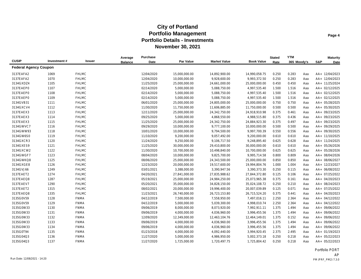|                              |             |              | Average        | Purchase   |               |                     |                   | <b>Stated</b> | <b>YTM</b>  |     |     | <b>Maturity</b> |
|------------------------------|-------------|--------------|----------------|------------|---------------|---------------------|-------------------|---------------|-------------|-----|-----|-----------------|
| <b>CUSIP</b>                 | Investment# | Issuer       | <b>Balance</b> | Date       | Par Value     | <b>Market Value</b> | <b>Book Value</b> | Rate          | 365 Moody's |     | S&P | Date            |
| <b>Federal Agency Coupon</b> |             |              |                |            |               |                     |                   |               |             |     |     |                 |
| 3137EAFA2                    | 1069        | <b>FHLMC</b> |                | 12/04/2020 | 15,000,000.00 | 14,892,900.00       | 14,990,058.75     | 0.250         | 0.283       | Aaa |     | AA+ 12/04/2023  |
| 3137EAFA2                    | 1070        | <b>FHLMC</b> |                | 12/04/2020 | 10,000,000.00 | 9,928,600.00        | 9,993,372.50      | 0.250         | 0.283       | Aaa |     | AA+ 12/04/2023  |
| 3134GXDZ4                    | 1105        | <b>FHLMC</b> |                | 11/25/2020 | 25,000,000.00 | 24,661,000.00       | 25,000,000.00     | 0.450         | 0.450       | Aaa |     | AA+ 11/25/2024  |
| 3137EAEP0                    | 1107        | <b>FHLMC</b> |                | 02/14/2020 | 5,000,000.00  | 5,088,750.00        | 4,997,535.40      | 1.500         | 1.516       | Aaa |     | AA+ 02/12/2025  |
| 3137EAEP0                    | 1108        | <b>FHLMC</b> |                | 02/14/2020 | 5,000,000.00  | 5,088,750.00        | 4,997,535.40      | 1.500         | 1.516       | Aaa |     | AA+ 02/12/2025  |
| 3137EAEP0                    | 1109        | <b>FHLMC</b> |                | 02/14/2020 | 5,000,000.00  | 5,088,750.00        | 4,997,535.40      | 1.500         | 1.516       | Aaa |     | AA+ 02/12/2025  |
| 3134GVB31                    | 1111        | <b>FHLMC</b> |                | 06/01/2020 | 25,000,000.00 | 24,805,000.00       | 25,000,000.00     | 0.750         | 0.750       | Aaa |     | AA+ 05/28/2025  |
| 3134GXCV4                    | 1112        | <b>FHLMC</b> |                | 11/30/2020 | 11,750,000.00 | 11,606,885.00       | 11,750,000.00     | 0.500         | 0.500       | Aaa |     | AA+ 05/30/2025  |
| 3137EAEX3                    | 1113        | <b>FHLMC</b> |                | 12/11/2020 | 25,000,000.00 | 24,342,750.00       | 24,918,910.98     | 0.375         | 0.461       | Aaa |     | AA+ 09/23/2025  |
| 3137EAEX3                    | 1114        | <b>FHLMC</b> |                | 09/25/2020 | 5,000,000.00  | 4,868,550.00        | 4,988,515.80      | 0.375         | 0.436       | Aaa |     | AA+ 09/23/2025  |
| 3137EAEX3                    | 1115        | <b>FHLMC</b> |                | 11/25/2020 | 25,000,000.00 | 24,342,750.00       | 24,884,923.30     | 0.375         | 0.497       | Aaa |     | AA+ 09/23/2025  |
| 3134GWVC7                    | 1116        | <b>FHLMC</b> |                | 09/29/2020 | 10,000,000.00 | 9,777,100.00        | 10,000,000.00     | 0.500         | 0.500       | Aaa |     | AA+ 09/29/2025  |
| 3134GWW93                    | 1118        | <b>FHLMC</b> |                | 10/01/2020 | 10,000,000.00 | 9,794,500.00        | 9,997,700.39      | 0.550         | 0.556       | Aaa |     | AA+ 09/30/2025  |
| 3134GW6S0                    | 1119        | <b>FHLMC</b> |                | 11/10/2020 | 9,200,000.00  | 9,057,492.00        | 9,200,000.00      | 0.610         | 0.610       | Aaa |     | AA+ 11/10/2025  |
| 3134GXCR3                    | 1120        | <b>FHLMC</b> |                | 11/24/2020 | 9,250,000.00  | 9,106,717.50        | 9,248,895.40      | 0.625         | 0.628       | Aaa |     | AA+ 11/24/2025  |
| 3134GXES9                    | 1121        | <b>FHLMC</b> |                | 11/25/2020 | 30,000,000.00 | 29,410,800.00       | 30,000,000.00     | 0.610         | 0.610       | Aaa |     | AA+ 05/26/2026  |
| 3134GXCW2                    | 1122        | <b>FHLMC</b> |                | 11/30/2020 | 10,700,000.00 | 10,498,840.00       | 10,700,000.00     | 0.625         | 0.625       | Aaa |     | AA+ 05/28/2026  |
| 3134GWGF7                    | 1123        | <b>FHLMC</b> |                | 08/04/2020 | 10,000,000.00 | 9,825,700.00        | 9,995,714.58      | 0.800         | 0.809       | Aaa |     | AA+ 08/04/2026  |
| 3134GWKQ8                    | 1125        | <b>FHLMC</b> |                | 08/06/2020 | 25,000,000.00 | 24,343,500.00       | 25,000,000.00     | 0.850         | 0.850       | Aaa |     | AA+ 08/06/2027  |
| 3134GXGE8                    | 1126        | <b>FHLMC</b> |                | 12/23/2020 | 20,000,000.00 | 19,517,600.00       | 19,994,804.76     | 1.000         | 1.004       | Aaa |     | AA+ 12/23/2027  |
| 3134GVJ66                    | 1249        | <b>FHLMC</b> |                | 03/01/2021 | 3,388,000.00  | 3,390,947.56        | 3,390,373.30      | 0.250         | 0.115       | Aaa |     | AA+ 06/08/2022  |
| 3137EAET2                    | 1274        | <b>FHLMC</b> |                | 04/20/2021 | 27,841,000.00 | 27,835,988.62       | 27,844,372.80     | 0.125         | 0.106       | Aaa |     | AA+ 07/25/2022  |
| 3137EAEQ8                    | 1287        | <b>FHLMC</b> |                | 05/19/2021 | 25,000,000.00 | 24,984,250.00       | 25,073,965.38     | 0.375         | 0.161       | Aaa |     | AA+ 04/20/2023  |
| 3137EAEV7                    | 1290        | <b>FHLMC</b> |                | 05/20/2021 | 35,000,000.00 | 34,828,150.00       | 35,024,108.72     | 0.250         | 0.210       | Aaa |     | AA+ 08/24/2023  |
| 3137EAET2                    | 1315        | <b>FHLMC</b> |                | 08/02/2021 | 20,000,000.00 | 19,996,400.00       | 20,007,039.89     | 0.125         | 0.071       | Aaa |     | AA+ 07/25/2022  |
| 3137EAEQ8                    | 1335        | <b>FHLMC</b> |                | 11/23/2021 | 26,740,000.00 | 26,723,153.80       | 26,715,524.20     | 0.375         | 0.441       | Aaa |     | AA+ 04/20/2023  |
| 3135G0V59                    | 1128        | <b>FNMA</b>  |                | 04/12/2019 | 7,500,000.00  | 7,558,950.00        | 7,497,016.11      | 2.250         | 2.364       | Aaa |     | AA+ 04/12/2022  |
| 3135G0V59                    | 1129        | <b>FNMA</b>  |                | 04/12/2019 | 5,000,000.00  | 5,039,300.00        | 4,998,010.74      | 2.250         | 2.364       | Aaa |     | AA+ 04/12/2022  |
| 3135G0W33                    | 1130        | <b>FNMA</b>  |                | 09/06/2019 | 8,000,000.00  | 8,073,920.00        | 7,992,911.11      | 1.375         | 1.494       | Aaa |     | AA+ 09/06/2022  |
| 3135G0W33                    | 1131        | <b>FNMA</b>  |                | 09/06/2019 | 4,000,000.00  | 4,036,960.00        | 3,996,455.56      | 1.375         | 1.494       | Aaa |     | AA+ 09/06/2022  |
| 3135G0W33                    | 1132        | <b>FNMA</b>  |                | 12/09/2020 | 12,349,000.00 | 12,463,104.76       | 12,464,149.01     | 1.375         | 0.152       | Aaa |     | AA+ 09/06/2022  |
| 3135G0W33                    | 1133        | <b>FNMA</b>  |                | 09/06/2019 | 4,000,000.00  | 4,036,960.00        | 3,996,455.56      | 1.375         | 1.494       | Aaa |     | AA+ 09/06/2022  |
| 3135G0W33                    | 1134        | <b>FNMA</b>  |                | 09/06/2019 | 4,000,000.00  | 4,036,960.00        | 3,996,455.56      | 1.375         | 1.494       | Aaa |     | AA+ 09/06/2022  |
| 3135G0T94                    | 1135        | <b>FNMA</b>  |                | 01/23/2018 | 4,000,000.00  | 4,092,440.00        | 3,994,920.45      | 2.375         | 2.495       | Aaa |     | AA+ 01/19/2023  |
| 3135G04Q3                    | 1136        | <b>FNMA</b>  |                | 11/27/2020 | 5,000,000.00  | 4,986,950.00        | 5,002,373.18      | 0.250         | 0.218       | Aaa |     | AA+ 05/22/2023  |
| 3135G04Q3                    | 1137        | <b>FNMA</b>  |                | 11/27/2020 | 1,725,000.00  | 1,720,497.75        | 1,725,804.42      | 0.250         | 0.218       | Aaa |     | AA+ 05/22/2023  |

Portfolio PORT AP Run Date: 12/08/2021 - 14:20 PM (PRF\_PM2) 7.3.0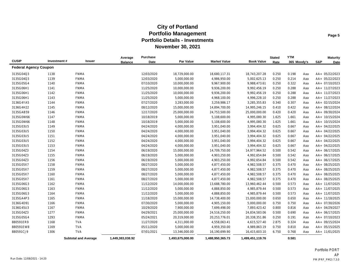|                              |             |                             | Average          | Purchase   |                  |                     |                   | <b>Stated</b> | <b>YTM</b>  |     |     | <b>Maturity</b> |
|------------------------------|-------------|-----------------------------|------------------|------------|------------------|---------------------|-------------------|---------------|-------------|-----|-----|-----------------|
| <b>CUSIP</b>                 | Investment# | Issuer                      | <b>Balance</b>   | Date       | <b>Par Value</b> | <b>Market Value</b> | <b>Book Value</b> | Rate          | 365 Moody's |     | S&P | Date            |
| <b>Federal Agency Coupon</b> |             |                             |                  |            |                  |                     |                   |               |             |     |     |                 |
| 3135G04Q3                    | 1138        | <b>FNMA</b>                 |                  | 12/03/2020 | 18,729,000.00    | 18,680,117.31       | 18,743,207.28     | 0.250         | 0.198       | Aaa |     | AA+ 05/22/2023  |
| 3135G04Q3                    | 1139        | <b>FNMA</b>                 |                  | 12/03/2020 | 5,000,000.00     | 4,986,950.00        | 5,002,625.13      | 0.250         | 0.214       | Aaa |     | AA+ 05/22/2023  |
| 3135G05G4                    | 1140        | <b>FNMA</b>                 |                  | 07/10/2020 | 10,000,000.00    | 9,967,900.00        | 9,988,473.61      | 0.250         | 0.322       | Aaa |     | AA+ 07/10/2023  |
| 3135G06H1                    | 1141        | <b>FNMA</b>                 |                  | 11/25/2020 | 10,000,000.00    | 9,936,200.00        | 9,992,456.19      | 0.250         | 0.288       | Aaa |     | AA+ 11/27/2023  |
| 3135G06H1                    | 1142        | <b>FNMA</b>                 |                  | 11/25/2020 | 10,000,000.00    | 9,936,200.00        | 9,992,456.19      | 0.250         | 0.288       | Aaa |     | AA+ 11/27/2023  |
| 3135G06H1                    | 1143        | <b>FNMA</b>                 |                  | 11/25/2020 | 5,000,000.00     | 4,968,100.00        | 4,996,228.10      | 0.250         | 0.288       | Aaa |     | AA+ 11/27/2023  |
| 3136G4YA5                    | 1144        | <b>FNMA</b>                 |                  | 07/27/2020 | 3,283,000.00     | 3,259,986.17        | 3,285,355.83      | 0.340         | 0.307       | Aaa |     | AA+ 02/15/2024  |
| 3136G4H22                    | 1145        | <b>FNMA</b>                 |                  | 08/12/2020 | 15,000,000.00    | 14,894,700.00       | 14,995,246.15     | 0.410         | 0.422       | Aaa |     | AA+ 08/12/2024  |
| 3135GAB59                    | 1146        | <b>FNMA</b>                 |                  | 12/17/2020 | 25,000,000.00    | 24,753,500.00       | 25,000,000.00     | 0.420         | 0.420       | Aaa |     | AA+ 09/30/2024  |
| 3135G0W66                    | 1147        | <b>FNMA</b>                 |                  | 10/18/2019 | 5,000,000.00     | 5,108,600.00        | 4,995,080.30      | 1.625         | 1.661       | Aaa |     | AA+ 10/15/2024  |
| 3135G0W66                    | 1148        | <b>FNMA</b>                 |                  | 10/18/2019 | 5,000,000.00     | 5,108,600.00        | 4,995,080.30      | 1.625         | 1.661       | Aaa |     | AA+ 10/15/2024  |
| 3135G03U5                    | 1149        | <b>FNMA</b>                 |                  | 04/24/2020 | 4,000,000.00     | 3,951,040.00        | 3,994,404.32      | 0.625         | 0.667       | Aaa |     | AA+ 04/22/2025  |
| 3135G03U5                    | 1150        | <b>FNMA</b>                 |                  | 04/24/2020 | 4,000,000.00     | 3,951,040.00        | 3,994,404.32      | 0.625         | 0.667       | Aaa |     | AA+ 04/22/2025  |
| 3135G03U5                    | 1151        | <b>FNMA</b>                 |                  | 04/24/2020 | 4,000,000.00     | 3,951,040.00        | 3,994,404.32      | 0.625         | 0.667       | Aaa |     | AA+ 04/22/2025  |
| 3135G03U5                    | 1152        | <b>FNMA</b>                 |                  | 04/24/2020 | 4,000,000.00     | 3,951,040.00        | 3,994,404.32      | 0.625         | 0.667       | Aaa |     | AA+ 04/22/2025  |
| 3135G03U5                    | 1153        | <b>FNMA</b>                 |                  | 04/24/2020 | 4,000,000.00     | 3,951,040.00        | 3,994,404.32      | 0.625         | 0.667       | Aaa |     | AA+ 04/22/2025  |
| 3135G04Z3                    | 1154        | <b>FNMA</b>                 |                  | 06/19/2020 | 15,000,000.00    | 14,709,750.00       | 14,977,964.52     | 0.500         | 0.542       | Aaa |     | AA+ 06/17/2025  |
| 3135G04Z3                    | 1155        | <b>FNMA</b>                 |                  | 06/19/2020 | 5,000,000.00     | 4,903,250.00        | 4,992,654.84      | 0.500         | 0.542       | Aaa |     | AA+ 06/17/2025  |
| 3135G04Z3                    | 1156        | <b>FNMA</b>                 |                  | 06/19/2020 | 5,000,000.00     | 4,903,250.00        | 4,992,654.84      | 0.500         | 0.542       | Aaa |     | AA+ 06/17/2025  |
| 3135G05X7                    | 1158        | <b>FNMA</b>                 |                  | 08/27/2020 | 5,000,000.00     | 4,877,450.00        | 4,982,508.57      | 0.375         | 0.470       | Aaa |     | AA+ 08/25/2025  |
| 3135G05X7                    | 1159        | <b>FNMA</b>                 |                  | 08/27/2020 | 5,000,000.00     | 4,877,450.00        | 4,982,508.57      | 0.375         | 0.470       | Aaa |     | AA+ 08/25/2025  |
| 3135G05X7                    | 1160        | <b>FNMA</b>                 |                  | 08/27/2020 | 5,000,000.00     | 4,877,450.00        | 4,982,508.57      | 0.375         | 0.470       | Aaa |     | AA+ 08/25/2025  |
| 3135G05X7                    | 1161        | <b>FNMA</b>                 |                  | 08/27/2020 | 5,000,000.00     | 4,877,450.00        | 4,982,508.57      | 0.375         | 0.470       | Aaa |     | AA+ 08/25/2025  |
| 3135G06G3                    | 1162        | <b>FNMA</b>                 |                  | 11/12/2020 | 14,000,000.00    | 13,688,780.00       | 13,960,462.44     | 0.500         | 0.573       | Aaa |     | AA+ 11/07/2025  |
| 3135G06G3                    | 1163        | <b>FNMA</b>                 |                  | 11/12/2020 | 5,000,000.00     | 4,888,850.00        | 4,985,879.44      | 0.500         | 0.573       | Aaa |     | AA+ 11/07/2025  |
| 3135G06G3                    | 1164        | <b>FNMA</b>                 |                  | 11/12/2020 | 5,000,000.00     | 4,888,850.00        | 4,985,879.44      | 0.500         | 0.573       | Aaa |     | AA+ 11/07/2025  |
| 3135GA4P3                    | 1165        | <b>FNMA</b>                 |                  | 11/18/2020 | 15,000,000.00    | 14,738,400.00       | 15,000,000.00     | 0.650         | 0.650       | Aaa |     | AA+ 11/18/2025  |
| 3136G4D91                    | 1166        | <b>FNMA</b>                 |                  | 07/30/2020 | 5,000,000.00     | 4,905,150.00        | 5,000,000.00      | 0.750         | 0.750       | Aaa |     | AA+ 07/30/2026  |
| 3136G45U3                    | 1167        | <b>FNMA</b>                 |                  | 10/29/2020 | 7,900,000.00     | 7,699,498.00        | 7,893,423.42      | 0.800         | 0.816       | Aaa |     | AA+ 04/29/2027  |
| 3135G04Z3                    | 1277        | <b>FNMA</b>                 |                  | 04/29/2021 | 25,000,000.00    | 24,516,250.00       | 24,834,583.06     | 0.500         | 0.690       | Aaa |     | AA+ 06/17/2025  |
| 3135G05G4                    | 1293        | <b>FNMA</b>                 |                  | 05/24/2021 | 20,319,000.00    | 20,253,776.01       | 20,338,351.86     | 0.250         | 0.191       | Aaa |     | AA+ 07/10/2023  |
| 880591ER9                    | 1168        | <b>TVA</b>                  |                  | 11/27/2020 | 4,311,000.00     | 4,558,063.41        | 4,615,527.40      | 2.875         | 0.324       | Aaa |     | AA+ 09/15/2024  |
| 880591EW8                    | 1169        | <b>TVA</b>                  |                  | 05/11/2020 | 5,000,000.00     | 4,959,350.00        | 4,989,863.19      | 0.750         | 0.810       | Aaa |     | AA+ 05/15/2025  |
| 880591CJ9                    | 1306        | <b>TVA</b>                  |                  | 07/01/2021 | 13,346,000.00    | 16,190,699.90       | 16,415,603.10     | 6.750         | 0.768       | Aaa |     | AA+ 11/01/2025  |
|                              |             | <b>Subtotal and Average</b> | 1,449,383,038.92 |            | 1,493,675,000.00 | 1,488,950,365.73    | 1,499,451,119.76  |               | 0.581       |     |     |                 |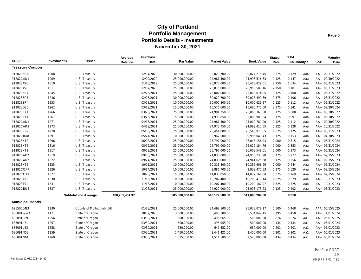|                        |             |                             | Average        | Purchase   |                |                     |                   | <b>Stated</b> | <b>YTM</b>  |     |     | <b>Maturity</b> |
|------------------------|-------------|-----------------------------|----------------|------------|----------------|---------------------|-------------------|---------------|-------------|-----|-----|-----------------|
| <b>CUSIP</b>           | Investment# | <b>Issuer</b>               | <b>Balance</b> | Date       | Par Value      | <b>Market Value</b> | <b>Book Value</b> | Rate          | 365 Moody's |     | S&P | Date            |
| <b>Treasury Coupon</b> |             |                             |                |            |                |                     |                   |               |             |     |     |                 |
| 912828ZG8              | 1008        | U.S. Treasury               |                | 12/04/2020 | 30,000,000.00  | 30,029,700.00       | 30,024,215.45     | 0.375         | 0.129       | Aaa |     | AA+ 03/31/2022  |
| 91282CAN1              | 1009        | U.S. Treasury               |                | 12/09/2020 | 25,000,000.00  | 24,981,500.00       | 24,995,516.63     | 0.125         | 0.147       | Aaa |     | AA+ 09/30/2022  |
| 9128284S6              | 1010        | U.S. Treasury               |                | 11/18/2019 | 25,000,000.00  | 25,875,000.00       | 25,403,829.01     | 2.750         | 1.634       | Aaa |     | AA+ 05/31/2023  |
| 9128284S6              | 1011        | U.S. Treasury               |                | 12/07/2020 | 25,000,000.00  | 25,875,000.00       | 25,958,587.16     | 2.750         | 0.181       | Aaa |     | AA+ 05/31/2023  |
| 912828ZR4              | 1245        | U.S. Treasury               |                | 02/25/2021 | 25,000,000.00  | 25,002,000.00       | 25,003,074.05     | 0.125         | 0.100       | Aaa |     | AA+ 05/31/2022  |
| 912828ZG8              | 1246        | U.S. Treasury               |                | 02/26/2021 | 30,000,000.00  | 30,029,700.00       | 30,026,499.69     | 0.375         | 0.106       | Aaa |     | AA+ 03/31/2022  |
| 912828ZR4              | 1253        | U.S. Treasury               |                | 03/08/2021 | 10,000,000.00  | 10,000,800.00       | 10,000,629.87     | 0.125         | 0.112       | Aaa |     | AA+ 05/31/2022  |
| 9128286G0              | 1262        | U.S. Treasury               |                | 03/19/2021 | 15,000,000.00  | 15,576,600.00       | 15,680,775.60     | 2.375         | 0.341       | Aaa |     | AA+ 02/29/2024  |
| 912828ZX1              | 1266        | U.S. Treasury               |                | 03/26/2021 | 25,000,000.00  | 24,994,250.00       | 25,005,363.68     | 0.125         | 0.088       | Aaa |     | AA+ 06/30/2022  |
| 912828ZX1              | 1267        | U.S. Treasury               |                | 03/26/2021 | 5,000,000.00   | 4,998,850.00        | 5,000,983.34      | 0.125         | 0.091       | Aaa |     | AA+ 06/30/2022  |
| 91282CAN1              | 1271        | U.S. Treasury               |                | 04/16/2021 | 25,000,000.00  | 24,981,500.00       | 25,002,781.00     | 0.125         | 0.112       | Aaa |     | AA+ 09/30/2022  |
| 91282CAR2              | 1273        | U.S. Treasury               |                | 04/19/2021 | 25,000,000.00  | 24,973,750.00       | 24,999,417.55     | 0.125         | 0.128       | Aaa |     | AA+ 10/31/2022  |
| 912828R69              | 1278        | U.S. Treasury               |                | 05/06/2021 | 25,000,000.00  | 25,454,000.00       | 25,540,971.65     | 1.625         | 0.175       | Aaa |     | AA+ 05/31/2023  |
| 91282CBX8              | 1291        | U.S. Treasury               |                | 05/21/2021 | 10,000,000.00  | 9,962,500.00        | 9.996.049.43      | 0.125         | 0.153       | Aaa |     | AA+ 04/30/2023  |
| 912828XT2              | 1296        | U.S. Treasury               |                | 06/08/2021 | 25,000,000.00  | 25,797,000.00       | 26,046,156.94     | 2.000         | 0.315       | Aaa |     | AA+ 05/31/2024  |
| 912828XT2              | 1316        | U.S. Treasury               |                | 08/06/2021 | 25,000,000.00  | 25,797,000.00       | 26,022,184.76     | 2.000         | 0.353       | Aaa |     | AA+ 05/31/2024  |
| 912828XT2              | 1317        | U.S. Treasury               |                | 08/09/2021 | 25,000,000.00  | 25,797,000.00       | 26,009,548.61     | 2.000         | 0.373       | Aaa |     | AA+ 05/31/2024  |
| 91282CAK7              | 1319        | U.S. Treasury               |                | 09/08/2021 | 25,000,000.00  | 24,838,000.00       | 24,956,737.98     | 0.125         | 0.222       | Aaa |     | AA+ 09/15/2023  |
| 91282CAK7              | 1322        | U.S. Treasury               |                | 09/24/2021 | 25,000,000.00  | 24,838,000.00       | 24,941,625.68     | 0.125         | 0.256       | Aaa |     | AA+ 09/15/2023  |
| 912828XT2              | 1325        | U.S. Treasury               |                | 10/01/2021 | 10,000,000.00  | 10,318,800.00       | 10,385,906.99     | 2.000         | 0.444       | Aaa |     | AA+ 05/31/2024  |
| 91282CCX7              | 1326        | U.S. Treasury               |                | 10/14/2021 | 10,000,000.00  | 9,886,700.00        | 9,932,477.53      | 0.375         | 0.620       | Aaa |     | AA+ 09/15/2024  |
| 91282CCX7              | 1327        | U.S. Treasury               |                | 10/25/2021 | 15,000,000.00  | 14,830,050.00       | 14,837,162.64     | 0.375         | 0.769       | Aaa |     | AA+ 09/15/2024  |
| 912828T91              | 1330        | U.S. Treasury               |                | 11/16/2021 | 10,000,000.00  | 10,207,400.00       | 10,208,418.14     | 1.625         | 0.529       | Aaa |     | AA+ 10/31/2023  |
| 912828T91              | 1331        | U.S. Treasury               |                | 11/16/2021 | 10,000,000.00  | 10,207,400.00       | 10,209,182.97     | 1.625         | 0.525       | Aaa |     | AA+ 10/31/2023  |
| 91282CBU4              | 1337        | U.S. Treasury               |                | 11/26/2021 | 25,000,000.00  | 24,920,000.00       | 24,908,173.23     | 0.125         | 0.402       | Aaa |     | AA+ 03/31/2023  |
|                        |             | <b>Subtotal and Average</b> | 480,251,451.37 |            | 505,000,000.00 | 510,172,500.00      | 511,096,269.58    |               | 0.318       |     |     |                 |
| <b>Municipal Bonds</b> |             |                             |                |            |                |                     |                   |               |             |     |     |                 |
| 625506QN3              | 1230        | County of Multnomah, OR     |                | 01/28/2021 | 25,000,000.00  | 24,492,500.00       | 25,028,078.17     | 0.500         | 0.468       | Aaa |     | AAA 06/15/2025  |
| 68609TWW4              | 1171        | State of Oregon             |                | 10/07/2020 | 3,500,000.00   | 3,488,100.00        | 3,534,849.45      | 0.795         | 0.450       | Aa1 |     | AA+ 11/01/2024  |
| 68609TL89              | 1256        | State of Oregon             |                | 03/30/2021 | 500,000.00     | 496,665.00          | 500,000.00        | 0.874         | 0.874       | Aa1 |     | AA+ 05/01/2025  |
| 68609TL71              | 1257        | State of Oregon             |                | 03/30/2021 | 500,000.00     | 495,955.00          | 500,000.00        | 0.434         | 0.434       | Aa1 |     | AA+ 05/01/2024  |
| 68609TL63              | 1258        | State of Oregon             |                | 03/30/2021 | 650,000.00     | 647,452.00          | 650,000.00        | 0.201         | 0.201       | Aa1 |     | AA+ 05/01/2023  |
| 68609TN53              | 1259        | State of Oregon             |                | 03/30/2021 | 2,450,000.00   | 2,441,425.00        | 2,450,000.00      | 0.201         | 0.201       | Aa1 |     | AA+ 05/01/2023  |
| 68609TN61              | 1260        | State of Oregon             |                | 03/30/2021 | 1,525,000.00   | 1,511,580.00        | 1,525,000.00      | 0.434         | 0.434       | Aa1 |     | AA+ 05/01/2024  |

Portfolio PORT AP Run Date: 12/08/2021 - 14:20 PM (PRF\_PM2) 7.3.0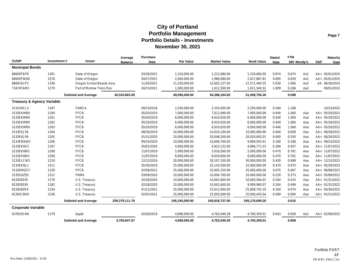|                                       |             |                             | Average        | <b>Purchase</b> |                  |                     |                   | <b>Stated</b> | <b>YTM</b>  |     |     | <b>Maturity</b> |
|---------------------------------------|-------------|-----------------------------|----------------|-----------------|------------------|---------------------|-------------------|---------------|-------------|-----|-----|-----------------|
| <b>CUSIP</b>                          | Investment# | Issuer                      | <b>Balance</b> | Date            | <b>Par Value</b> | <b>Market Value</b> | <b>Book Value</b> | Rate          | 365 Moody's |     | S&P | Date            |
| <b>Municipal Bonds</b>                |             |                             |                |                 |                  |                     |                   |               |             |     |     |                 |
| 68609TN79                             | 1261        | State of Oregon             |                | 03/30/2021      | 1,220,000.00     | 1,212,680.00        | 1,220,000.00      | 0.874         | 0.874       | Aa1 |     | AA+ 05/01/2025  |
| 68609TWD6                             | 1276        | State of Oregon             |                | 04/27/2021      | 2,000,000.00     | 1,988,080.00        | 2.017.887.81      | 0.895         | 0.629       | Aa1 |     | AA+ 05/01/2025  |
| 686053CP2                             | 1336        | Oregon School Boards Assc   |                | 11/26/2021      | 11,250,000.00    | 12,602,137.50       | 12,571,400.55     | 5.630         | 1.006       | Aa2 |     | AA 06/30/2024   |
| 73474TAM2                             | 1270        | Port of Morrow Trans Rev    |                | 04/15/2021      | 1,000,000.00     | 1,011,590.00        | 1,011,540.32      | 1.809         | 0.266       | Aa2 |     | 09/01/2022      |
|                                       |             | <b>Subtotal and Average</b> | 40,534,683.09  |                 | 49,595,000.00    | 50,388,164.50       | 51,008,756.30     |               | 0.598       |     |     |                 |
| <b>Treasury &amp; Agency Variable</b> |             |                             |                |                 |                  |                     |                   |               |             |     |     |                 |
| 3132X0CL3                             | 1187        | <b>FAMCA</b>                |                | 09/13/2018      | 2,250,000.00     | 2,254,005.00        | 2,250,000.00      | 0.340         | 1.168       |     |     | 10/13/2022      |
| 3133EKMB9                             | 1200        | <b>FFCB</b>                 |                | 05/20/2019      | 7,000,000.00     | 7,011,690.00        | 7,000,000.00      | 0.440         | 1.060       | Aaa |     | AA+ 05/20/2022  |
| 3133EKMB9                             | 1201        | <b>FFCB</b>                 |                | 05/20/2019      | 6,000,000.00     | 6,010,020.00        | 6,000,000.00      | 0.440         | 1.060       | Aaa |     | AA+ 05/20/2022  |
| 3133EKMB9                             | 1202        | <b>FFCB</b>                 |                | 05/20/2019      | 6,000,000.00     | 6,010,020.00        | 6,000,000.00      | 0.440         | 1.060       | Aaa |     | AA+ 05/20/2022  |
| 3133EKMB9                             | 1203        | <b>FFCB</b>                 |                | 05/20/2019      | 6,000,000.00     | 6,010,020.00        | 6,000,000.00      | 0.440         | 1.060       | Aaa |     | AA+ 05/20/2022  |
| 3133EKJ56                             | 1204        | <b>FFCB</b>                 |                | 08/30/2019      | 10,000,000.00    | 10,024,100.00       | 10,000,000.00     | 0.400         | 0.828       | Aaa |     | AA+ 08/30/2022  |
| 3133EKJ56                             | 1205        | <b>FFCB</b>                 |                | 01/31/2020      | 20,000,000.00    | 20,048,200.00       | 20,020,605.01     | 0.400         | 0.550       | Aaa |     | AA+ 08/30/2022  |
| 3133EMAW2                             | 1206        | <b>FFCB</b>                 |                | 09/25/2020      | 10,000,000.00    | 10,009,700.00       | 9,999,593.41      | 0.180         | 0.188       | Aaa |     | AA+ 09/23/2022  |
| 3133EK6V3                             | 1207        | <b>FFCB</b>                 |                | 05/01/2020      | 4,900,000.00     | 4,913,132.00        | 4,896,771.53      | 0.360         | 0.457       | Aaa |     | AA+ 11/07/2022  |
| 3133EK6W1                             | 1208        | <b>FFCB</b>                 |                | 11/07/2019      | 5,000,000.00     | 5,018,500.00        | 5,000,000.00      | 0.470         | 0.781       | Aaa |     | AA+ 11/07/2022  |
| 3133EK6W1                             | 1209        | <b>FFCB</b>                 |                | 11/07/2019      | 8,000,000.00     | 8,029,600.00        | 8,000,000.00      | 0.470         | 0.781       | Aaa |     | AA+ 11/07/2022  |
| 3133ELCW2                             | 1210        | <b>FFCB</b>                 |                | 12/12/2019      | 30,000,000.00    | 30,107,100.00       | 30,000,000.00     | 0.430         | 0.699       | Aaa |     | AA+ 12/12/2022  |
| 3133EKNJ1                             | 1211        | <b>FFCB</b>                 |                | 05/30/2019      | 25,000,000.00    | 25,143,500.00       | 25,000,000.00     | 0.470         | 0.975       | Aaa |     | AA+ 05/30/2023  |
| 3133EMQF2                             | 1239        | <b>FFCB</b>                 |                | 02/09/2021      | 25,000,000.00    | 25,002,250.00       | 25,000,000.00     | 0.075         | 0.067       | Aaa |     | AA+ 06/08/2022  |
| 3135G0Z55                             | 1212        | <b>FNMA</b>                 |                | 03/09/2020      | 10,000,000.00    | 10,004,700.00       | 10,000,000.00     | 0.220         | 0.373       | Aaa |     | AA+ 03/09/2022  |
| 912828Z45                             | 1178        | U.S. Treasury               |                | 02/28/2020      | 10,000,000.00    | 10,002,600.00       | 10,000,564.01     | 0.204         | 0.414       | Aaa |     | AA+ 01/31/2022  |
| 912828Z45                             | 1182        | U.S. Treasury               |                | 02/28/2020      | 10,000,000.00    | 10,002,600.00       | 9,999,980.07      | 0.204         | 0.449       | Aaa |     | AA+ 01/31/2022  |
| 912828ZK9                             | 1234        | U.S. Treasury               |                | 01/21/2021      | 25,000,000.00    | 25,012,000.00       | 25,008,742.19     | 0.164         | 0.074       | Aaa |     | AA+ 04/30/2022  |
| 91282CBK6                             | 1236        | U.S. Treasury               |                | 02/01/2021      | 25,000,000.00    | 25,005,000.00       | 25,000,443.04     | 0.099         | 0.094       | Aaa |     | AA+ 01/31/2023  |
|                                       |             | <b>Subtotal and Average</b> | 259,379,111.78 |                 | 245,150,000.00   | 245,618,737.00      | 245,176,699.26    |               | 0.515       |     |     |                 |
| <b>Corporate Variable</b>             |             |                             |                |                 |                  |                     |                   |               |             |     |     |                 |
| 037833CN8                             | 1179        | Apple                       |                | 02/26/2019      | 4,698,000.00     | 4,702,040.28        | 4,700,359.01      | 0.643         | 0.658       | Aa1 |     | AA+ 02/09/2022  |
|                                       |             | <b>Subtotal and Average</b> | 4,700,847.67   |                 | 4,698,000.00     | 4,702,040.28        | 4,700,359.01      |               | 0.658       |     |     |                 |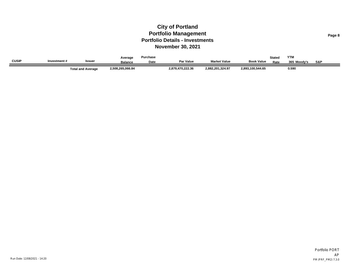|              |              |                          | Average          | Purchase |                  |                     |                   | <b>Stated</b> | <b>YTM</b>  |     |
|--------------|--------------|--------------------------|------------------|----------|------------------|---------------------|-------------------|---------------|-------------|-----|
| <b>CUSIP</b> | Investment # | <b>Issuer</b>            | <b>Balance</b>   | Date     | <b>Par Value</b> | <b>Market Value</b> | <b>Book Value</b> | Rate          | 365 Moodv's | S&P |
|              |              | <b>Total and Average</b> | 2,508,265,066.84 |          | 2,879,470,222.36 | 2,882,201,324.97    | 2,893,100,544.65  |               | 0.590       |     |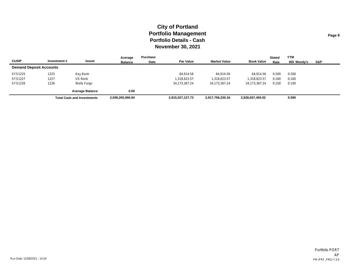|                                |             |                                   | Average          | Purchase |                  |                     |                   | <b>Stated</b> | <b>YTM</b>  |     |
|--------------------------------|-------------|-----------------------------------|------------------|----------|------------------|---------------------|-------------------|---------------|-------------|-----|
| <b>CUSIP</b>                   | Investment# | Issuer                            | <b>Balance</b>   | Date     | <b>Par Value</b> | <b>Market Value</b> | <b>Book Value</b> | Rate          | 365 Moody's | S&P |
| <b>Demand Deposit Accounts</b> |             |                                   |                  |          |                  |                     |                   |               |             |     |
| SYS1225                        | 1225        | Key Bank                          |                  |          | 64,914.56        | 64,914.56           | 64.914.56         | 0.500         | 0.500       |     |
| SYS1227                        | 1227        | US Bank                           |                  |          | 1,318,623.57     | 1,318,623.57        | 1,318,623.57      | 0.160         | 0.160       |     |
| SYS1226                        | 1226        | Wells Fargo                       |                  |          | 34, 173, 367. 24 | 34.173.367.24       | 34,173,367.24     | 0.100         | 0.100       |     |
|                                |             | <b>Average Balance</b>            | 0.00             |          |                  |                     |                   |               |             |     |
|                                |             | <b>Total Cash and Investments</b> | 2,508,265,066.84 |          | 2,915,027,127.73 | 2,917,758,230.34    | 2,928,657,450.02  |               | 0.590       |     |